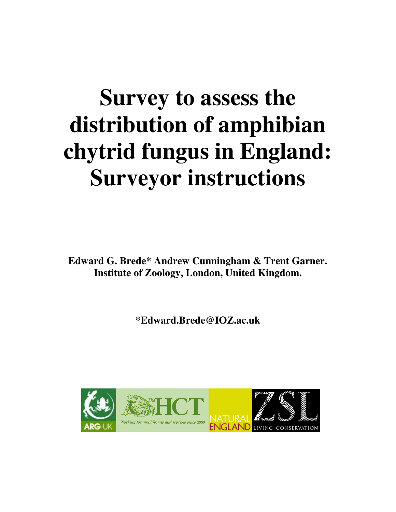# **Survey to assess the distribution of amphibian chytrid fungus in England: Surveyor instructions**

**Edward G. Brede\* Andrew Cunningham & Trent Garner. Institute of Zoology, London, United Kingdom.**

**\*Edward.Brede@IOZ.ac.uk**

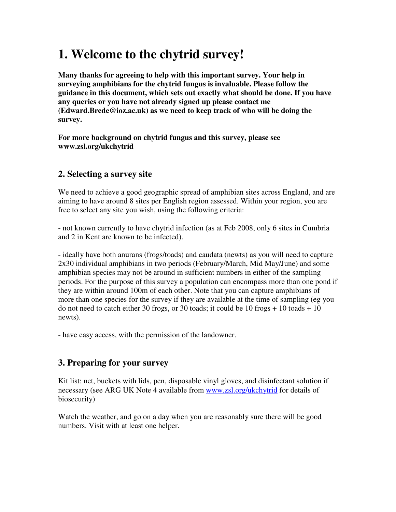## **1. Welcome to the chytrid survey!**

**Many thanks for agreeing to help with this important survey. Your help in surveying amphibians for the chytrid fungus is invaluable. Please follow the guidance in this document, which sets out exactly what should be done. If you have any queries or you have not already signed up please contact me (Edward.Brede@ioz.ac.uk) as we need to keep track of who will be doing the survey.**

**For more background on chytrid fungus and this survey, please see www.zsl.org/ukchytrid**

#### **2. Selecting a survey site**

We need to achieve a good geographic spread of amphibian sites across England, and are aiming to have around 8 sites per English region assessed. Within your region, you are free to select any site you wish, using the following criteria:

- not known currently to have chytrid infection (as at Feb 2008, only 6 sites in Cumbria and 2 in Kent are known to be infected).

- ideally have both anurans (frogs/toads) and caudata (newts) as you will need to capture 2x30 individual amphibians in two periods (February/March, Mid May/June) and some amphibian species may not be around in sufficient numbers in either of the sampling periods. For the purpose of this survey a population can encompass more than one pond if they are within around 100m of each other. Note that you can capture amphibians of more than one species for the survey if they are available at the time of sampling (eg you do not need to catch either 30 frogs, or 30 toads; it could be  $10$  frogs  $+10$  toads  $+10$ newts).

- have easy access, with the permission of the landowner.

#### **3. Preparing for your survey**

Kit list: net, buckets with lids, pen, disposable vinyl gloves, and disinfectant solution if necessary (see ARG UK Note 4 available from www.zsl.org/ukchytrid for details of biosecurity)

Watch the weather, and go on a day when you are reasonably sure there will be good numbers. Visit with at least one helper.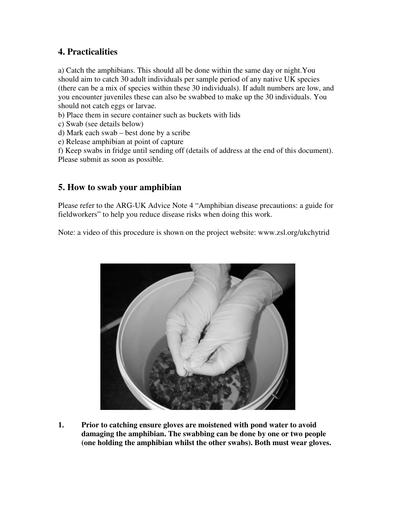#### **4. Practicalities**

a) Catch the amphibians. This should all be done within the same day or night.You should aim to catch 30 adult individuals per sample period of any native UK species (there can be a mix of species within these 30 individuals). If adult numbers are low, and you encounter juveniles these can also be swabbed to make up the 30 individuals. You should not catch eggs or larvae.

b) Place them in secure container such as buckets with lids

- c) Swab (see details below)
- d) Mark each swab best done by a scribe
- e) Release amphibian at point of capture

f) Keep swabs in fridge until sending off (details of address at the end of this document). Please submit as soon as possible.

#### **5. How to swab your amphibian**

Please refer to the ARG-UK Advice Note 4 "Amphibian disease precautions: a guide for fieldworkers" to help you reduce disease risks when doing this work.

Note: a video of this procedure is shown on the project website: www.zsl.org/ukchytrid



**1. Prior to catching ensure gloves are moistened with pond water to avoid damaging the amphibian. The swabbing can be done by one or two people (one holding the amphibian whilst the other swabs). Both must wear gloves.**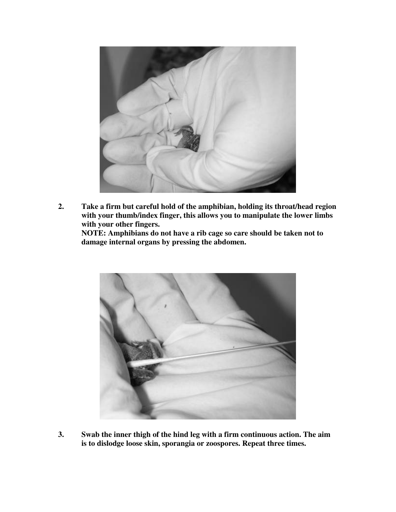

**2. Take a firm but careful hold of the amphibian, holding its throat/head region with your thumb/index finger, this allows you to manipulate the lower limbs with your other fingers.**

**NOTE: Amphibians do not have a rib cage so care should be taken not to damage internal organs by pressing the abdomen.**



**3. Swab the inner thigh of the hind leg with a firm continuous action. The aim is to dislodge loose skin, sporangia or zoospores. Repeat three times.**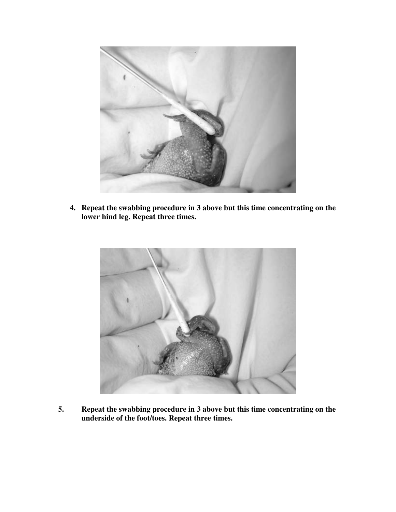

**4. Repeat the swabbing procedure in 3 above but this time concentrating on the lower hind leg. Repeat three times.**



**5. Repeat the swabbing procedure in 3 above but this time concentrating on the underside of the foot/toes. Repeat three times.**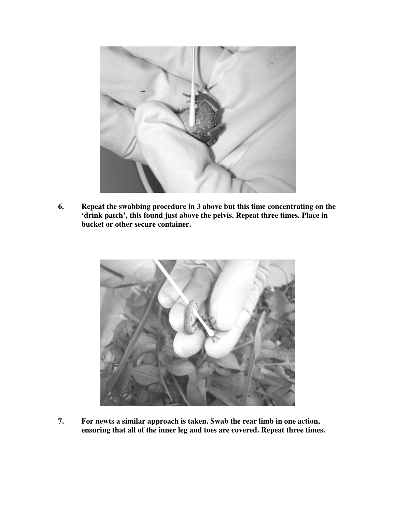

**6. Repeat the swabbing procedure in 3 above but this time concentrating on the 'drink patch', this found just above the pelvis. Repeat three times. Place in bucket or other secure container.**



**7. For newts a similar approach is taken. Swab the rear limb in one action, ensuring that all of the inner leg and toes are covered. Repeat three times.**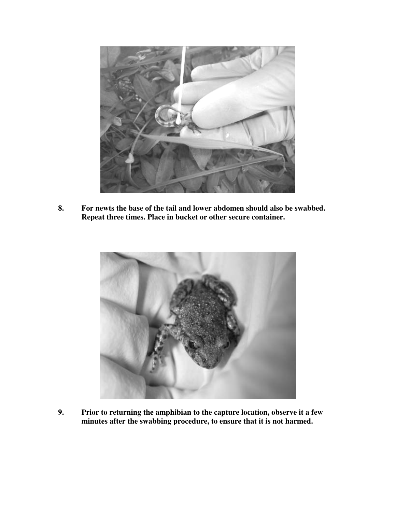

**8. For newts the base of the tail and lower abdomen should also be swabbed. Repeat three times. Place in bucket or other secure container.**



**9. Prior to returning the amphibian to the capture location, observe it a few minutes after the swabbing procedure, to ensure that it is not harmed.**